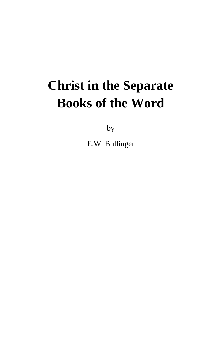## **Christ in the Separate Books of the Word**

by

E.W. Bullinger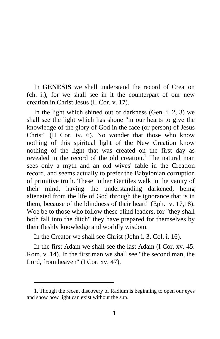In **GENESIS** we shall understand the record of Creation (ch. i.), for we shall see in it the counterpart of our new creation in Christ Jesus (II Cor. v. 17).

In the light which shined out of darkness (Gen. i. 2, 3) we shall see the light which has shone "in our hearts to give the knowledge of the glory of God in the face (or person) of Jesus Christ" (II Cor. iv. 6). No wonder that those who know nothing of this spiritual light of the New Creation know nothing of the light that was created on the first day as revealed in the record of the old creation.<sup>1</sup> The natural man sees only a myth and an old wives' fable in the Creation record, and seems actually to prefer the Babylonian corruption of primitive truth. These "other Gentiles walk in the vanity of their mind, having the understanding darkened, being alienated from the life of God through the ignorance that is in them, because of the blindness of their heart" (Eph. iv. 17,18). Woe be to those who follow these blind leaders, for "they shall both fall into the ditch" they have prepared for themselves by their fleshly knowledge and worldly wisdom.

In the Creator we shall see Christ (John i. 3. Col. i. 16).

In the first Adam we shall see the last Adam (I Cor. xv. 45. Rom. v. 14). In the first man we shall see "the second man, the Lord, from heaven" (I Cor. xv. 47).

<sup>1.</sup> Though the recent discovery of Radium is beginning to open our eyes and show bow light can exist without the sun.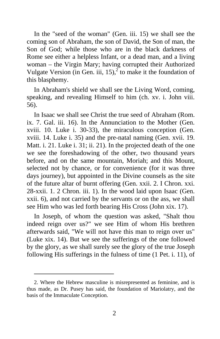In the "seed of the woman" (Gen. iii. 15) we shall see the coming son of Abraham, the son of David, the Son of man, the Son of God; while those who are in the black darkness of Rome see either a helpless Infant, or a dead man, and a living woman – the Virgin Mary; having corrupted their Authorized Vulgate Version (in Gen. iii, 15), $^{2}$  to make it the foundation of this blasphemy.

In Abraham's shield we shall see the Living Word, coming, speaking, and revealing Himself to him (ch. xv. i. John viii. 56).

In Isaac we shall see Christ the true seed of Abraham (Rom. ix. 7. Gal. iii. 16). In the Annunciation to the Mother (Gen. xviii. 10. Luke i. 30-33), the miraculous conception (Gen. xviii. 14. Luke i. 35) and the pre-natal naming (Gen. xvii. 19. Matt. i. 21. Luke i. 31; ii. 21). In the projected death of the one we see the foreshadowing of the other, two thousand years before, and on the same mountain, Moriah; and this Mount, selected not by chance, or for convenience (for it was three days journey), but appointed in the Divine counsels as the site of the future altar of burnt offering (Gen. xxii. 2. I Chron. xxi. 28-xxii. 1. 2 Chron. iii. 1). In the wood laid upon Isaac (Gen. xxii. 6), and not carried by the servants or on the ass, we shall see Him who was led forth bearing His Cross (John xix. 17).

In Joseph, of whom the question was asked, "Shalt thou indeed reign over us?" we see Him of whom His brethren afterwards said, "We will not have this man to reign over us" (Luke xix. 14). But we see the sufferings of the one followed by the glory, as we shall surely see the glory of the true Joseph following His sufferings in the fulness of time (1 Pet. i. 11), of

<sup>2.</sup> Where the Hebrew masculine is misrepresented as feminine, and is thus made, as Dr. Pusey has said, the foundation of Mariolatry, and the basis of the Immaculate Conception.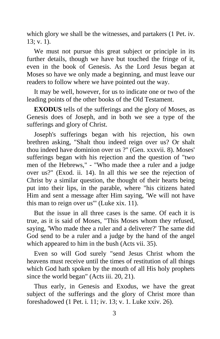which glory we shall be the witnesses, and partakers (1 Pet. iv.  $13: v. 1$ .

We must not pursue this great subject or principle in its further details, though we have but touched the fringe of it, even in the book of Genesis. As the Lord Jesus began at Moses so have we only made a beginning, and must leave our readers to follow where we have pointed out the way.

It may be well, however, for us to indicate one or two of the leading points of the other books of the Old Testament.

**EXODUS** tells of the sufferings and the glory of Moses, as Genesis does of Joseph, and in both we see a type of the sufferings and glory of Christ.

Joseph's sufferings began with his rejection, his own brethren asking, "Shalt thou indeed reign over us? Or shalt thou indeed have dominion over us ?" (Gen. xxxvii. 8). Moses' sufferings began with his rejection and the question of "two men of the Hebrews," - "Who made thee a ruler and a judge over us?" (Exod. ii. 14). In all this we see the rejection of Christ by a similar question, the thought of their hearts being put into their lips, in the parable, where "his citizens hated Him and sent a message after Him saying, 'We will not have this man to reign over us'" (Luke xix. 11).

But the issue in all three cases is the same. Of each it is true, as it is said of Moses, "This Moses whom they refused, saying, 'Who made thee a ruler and a deliverer?' The same did God send to be a ruler and a judge by the hand of the angel which appeared to him in the bush (Acts vii. 35).

Even so will God surely "send Jesus Christ whom the heavens must receive until the times of restitution of all things which God hath spoken by the mouth of all His holy prophets since the world began" (Acts iii. 20, 21).

Thus early, in Genesis and Exodus, we have the great subject of the sufferings and the glory of Christ more than foreshadowed (1 Pet. i. 11; iv. 13; v. 1. Luke xxiv. 26).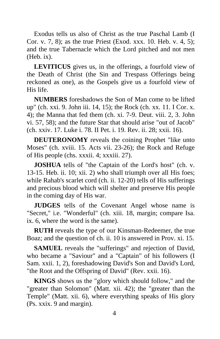Exodus tells us also of Christ as the true Paschal Lamb (I Cor. v. 7, 8); as the true Priest (Exod. xxx. 10. Heb. v. 4, 5); and the true Tabernacle which the Lord pitched and not men (Heb. ix).

**LEVITICUS** gives us, in the offerings, a fourfold view of the Death of Christ (the Sin and Trespass Offerings being reckoned as one), as the Gospels give us a fourfold view of His life.

**NUMBERS** foreshadows the Son of Man come to be lifted up" (ch. xxi. 9. John iii. 14, 15); the Rock (ch. xx. 11. I Cor. x. 4); the Manna that fed them (ch. xi. 7-9. Deut. viii. 2, 3. John vi. 57, 58); and the future Star that should arise "out of Jacob" (ch. xxiv. 17. Luke i. 78. II Pet. i. 19. Rev. ii. 28; xxii. 16).

**DEUTERONOMY** reveals the coining Prophet "like unto Moses" (ch. xviii. 15. Acts vii. 23-26); the Rock and Refuge of His people (chs. xxxii. 4; xxxiii. 27).

**JOSHUA** tells of "the Captain of the Lord's host" (ch. v. 13-15. Heb. ii. 10; xii. 2) who shall triumph over all His foes; while Rahab's scarlet cord (ch. ii. 12-20) tells of His sufferings and precious blood which will shelter and preserve His people in the coming day of His war.

**JUDGES** tells of the Covenant Angel whose name is "Secret," i.e. "Wonderful" (ch. xiii. 18, margin; compare Isa. ix. 6, where the word is the same).

**RUTH** reveals the type of our Kinsman-Redeemer, the true Boaz; and the question of ch. ii. 10 is answered in Prov. xi. 15.

**SAMUEL** reveals the "sufferings" and rejection of David, who became a "Saviour" and a "Captain" of his followers (I Sam. xxii. 1, 2), foreshadowing David's Son and David's Lord, "the Root and the Offspring of David" (Rev. xxii. 16).

**KINGS** shows us the "glory which should follow," and the "greater than Solomon" (Matt. xii. 42); the "greater than the Temple" (Matt. xii. 6), where everything speaks of His glory (Ps. xxix. 9 and margin).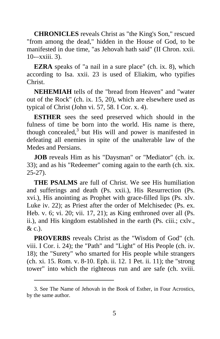**CHRONICLES** reveals Christ as "the King's Son," rescued "from among the dead," hidden in the House of God, to be manifested in due time, "as Jehovah hath said" (II Chron. xxii. 10-–xxiii. 3).

**EZRA** speaks of "a nail in a sure place" (ch. ix. 8), which according to Isa. xxii. 23 is used of Eliakim, who typifies Christ.

**NEHEMIAH** tells of the "bread from Heaven" and "water out of the Rock" (ch. ix. 15, 20), which are elsewhere used as typical of Christ (John vi. 57, 58. I Cor. x. 4).

**ESTHER** sees the seed preserved which should in the fulness of time be born into the world. His name is there, though concealed, $3$  but His will and power is manifested in defeating all enemies in spite of the unalterable law of the Medes and Persians.

**JOB** reveals Him as his "Daysman" or "Mediator" (ch. ix. 33); and as his "Redeemer" coming again to the earth (ch. xix. 25-27).

**THE PSALMS** are full of Christ. We see His humiliation and sufferings and death (Ps. xxii.), His Resurrection (Ps. xvi.), His anointing as Prophet with grace-filled lips (Ps. xlv. Luke iv. 22); as Priest after the order of Melchisedec (Ps. ex. Heb. v. 6; vi. 20; vii. 17, 21); as King enthroned over all (Ps. ii.), and His kingdom established in the earth (Ps. ciii.; cxlv., & c.).

**PROVERBS** reveals Christ as the "Wisdom of God" (ch. viii. I Cor. i. 24); the "Path" and "Light" of His People (ch. iv. 18); the "Surety" who smarted for His people while strangers (ch. xi. 15. Rom. v. 8-10. Eph. ii. 12. 1 Pet. ii. 11); the "strong tower" into which the righteous run and are safe (ch. xviii.

<sup>3.</sup> See The Name of Jehovah in the Book of Esther, in Four Acrostics, by the same author.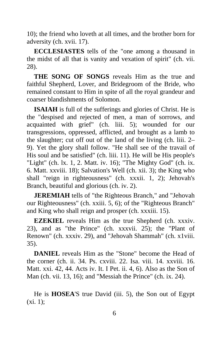10); the friend who loveth at all times, and the brother born for adversity (ch. xvii. 17).

**ECCLESIASTES** tells of the "one among a thousand in the midst of all that is vanity and vexation of spirit" (ch. vii. 28).

**THE SONG OF SONGS** reveals Him as the true and faithful Shepherd, Lover, and Bridegroom of the Bride, who remained constant to Him in spite of all the royal grandeur and coarser blandishments of Solomon.

**ISAIAH** is full of the sufferings and glories of Christ. He is the "despised and rejected of men, a man of sorrows, and acquainted with grief" (ch. liii. 5); wounded for our transgressions, oppressed, afflicted, and brought as a lamb to the slaughter; cut off out of the land of the living (ch. liii. 2– 9). Yet the glory shall follow. "He shall see of the travail of His soul and be satisfied" (ch. liii. 11). He will be His people's "Light" (ch. lx. 1, 2. Matt. iv. 16); "The Mighty God" (ch. ix. 6. Matt. xxviii. 18); Salvation's Well (ch. xii. 3); the King who shall "reign in righteousness" (ch. xxxii. 1, 2); Jehovah's Branch, beautiful and glorious (ch. iv. 2).

**JEREMIAH** tells of "the Righteous Branch," and "Jehovah our Righteousness" (ch. xxiii. 5, 6); of the "Righteous Branch" and King who shall reign and prosper (ch. xxxiii. 15).

**EZEKIEL** reveals Him as the true Shepherd (ch. xxxiv. 23), and as "the Prince" (ch. xxxvii. 25); the "Plant of Renown" (ch. xxxiv. 29), and "Jehovah Shammah" (ch. x1viii. 35).

**DANIEL** reveals Him as the "Stone" become the Head of the corner (ch. ii. 34. Ps. cxviii. 22. Isa. viii. 14. xxviii. 16. Matt. xxi. 42, 44. Acts iv. It. I Pet. ii. 4, 6). Also as the Son of Man (ch. vii. 13, 16); and "Messiah the Prince" (ch. ix. 24).

He is **HOSEA**'S true David (iii. 5), the Son out of Egypt  $(xi. 1);$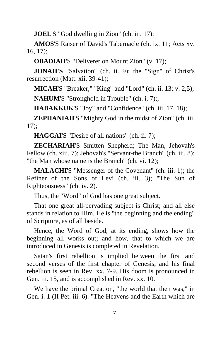**JOEL**'S "God dwelling in Zion" (ch. iii. 17);

**AMOS**'S Raiser of David's Tabernacle (ch. ix. 11; Acts xv. 16, 17);

**OBADIAH**'S "Deliverer on Mount Zion" (v. 17);

**JONAH'S** "Salvation" (ch. ii. 9); the "Sign" of Christ's resurrection (Matt. xii. 39-41);

**MICAH'S "Breaker," "King" and "Lord" (ch. ii. 13; v. 2,5); NAHUM**'S "Stronghold in Trouble" (ch. i. 7);,

**HABAKKUK**'S "Joy" and "Confidence" (ch. iii. 17, 18);

**ZEPHANIAH**'S "Mighty God in the midst of Zion" (ch. iii. 17);

**HAGGAI**'S "Desire of all nations" (ch. ii. 7);

**ZECHARIAH**'S Smitten Shepherd; The Man, Jehovah's Fellow (ch. xiii. 7); Jehovah's "Servant-the Branch" (ch. iii. 8); "the Man whose name is the Branch" (ch. vi. 12);

**MALACHI**'S "Messenger of the Covenant" (ch. iii. 1); the Refiner of the Sons of Levi (ch. iii. 3); "The Sun of Righteousness" (ch. iv. 2).

Thus, the "Word" of God has one great subject.

That one great all-pervading subject is Christ; and all else stands in relation to Him. He is "the beginning and the ending" of Scripture, as of all beside.

Hence, the Word of God, at its ending, shows how the beginning all works out; and how, that to which we are introduced in Genesis is completed in Revelation.

Satan's first rebellion is implied between the first and second verses of the first chapter of Genesis, and his final rebellion is seen in Rev. xx. 7-9. His doom is pronounced in Gen. iii. 15, and is accomplished in Rev. xx. 10.

We have the primal Creation, "the world that then was," in Gen. i. 1 (II Pet. iii. 6). "The Heavens and the Earth which are